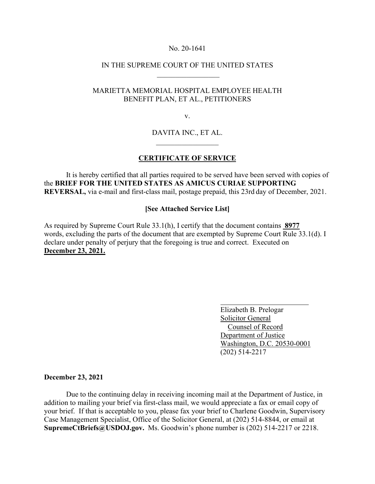#### No. 20-1641

# IN THE SUPREME COURT OF THE UNITED STATES  $\frac{1}{2}$  ,  $\frac{1}{2}$  ,  $\frac{1}{2}$  ,  $\frac{1}{2}$  ,  $\frac{1}{2}$  ,  $\frac{1}{2}$  ,  $\frac{1}{2}$  ,  $\frac{1}{2}$  ,  $\frac{1}{2}$  ,  $\frac{1}{2}$

# MARIETTA MEMORIAL HOSPITAL EMPLOYEE HEALTH BENEFIT PLAN, ET AL., PETITIONERS

v.

# DAVITA INC., ET AL.  $\mathcal{L}=\mathcal{L}^{\text{max}}$

#### **CERTIFICATE OF SERVICE**

It is hereby certified that all parties required to be served have been served with copies of the **BRIEF FOR THE UNITED STATES AS AMICUS CURIAE SUPPORTING REVERSAL,** via e-mail and first-class mail, postage prepaid, this 23rd day of December, 2021.

### **[See Attached Service List]**

As required by Supreme Court Rule 33.1(h), I certify that the document contains **8977**  words, excluding the parts of the document that are exempted by Supreme Court Rule 33.1(d). I declare under penalty of perjury that the foregoing is true and correct. Executed on **December 23, 2021.**

> Elizabeth B. Prelogar Solicitor General Counsel of Record Department of Justice Washington, D.C. 20530-0001 (202) 514-2217

#### **December 23, 2021**

Due to the continuing delay in receiving incoming mail at the Department of Justice, in addition to mailing your brief via first-class mail, we would appreciate a fax or email copy of your brief. If that is acceptable to you, please fax your brief to Charlene Goodwin, Supervisory Case Management Specialist, Office of the Solicitor General, at (202) 514-8844, or email at **SupremeCtBriefs@USDOJ.gov.** Ms. Goodwin's phone number is (202) 514-2217 or 2218.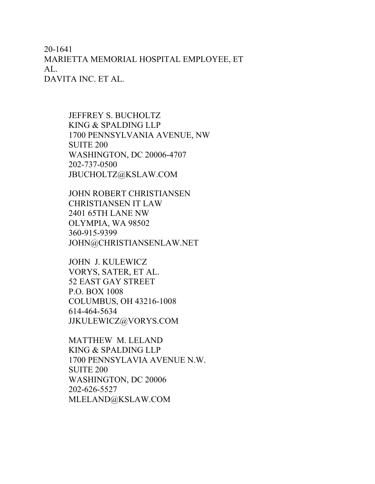20-1641 MARIETTA MEMORIAL HOSPITAL EMPLOYEE, ET AL. DAVITA INC. ET AL.

> JEFFREY S. BUCHOLTZ KING & SPALDING LLP 1700 PENNSYLVANIA AVENUE, NW SUITE 200 WASHINGTON, DC 20006-4707 202-737-0500 JBUCHOLTZ@KSLAW.COM

JOHN ROBERT CHRISTIANSEN CHRISTIANSEN IT LAW 2401 65TH LANE NW OLYMPIA, WA 98502 360-915-9399 JOHN@CHRISTIANSENLAW.NET

JOHN J. KULEWICZ VORYS, SATER, ET AL. 52 EAST GAY STREET P.O. BOX 1008 COLUMBUS, OH 43216-1008 614-464-5634 JJKULEWICZ@VORYS.COM

MATTHEW M. LELAND KING & SPALDING LLP 1700 PENNSYLAVIA AVENUE N.W. SUITE 200 WASHINGTON, DC 20006 202-626-5527 MLELAND@KSLAW.COM